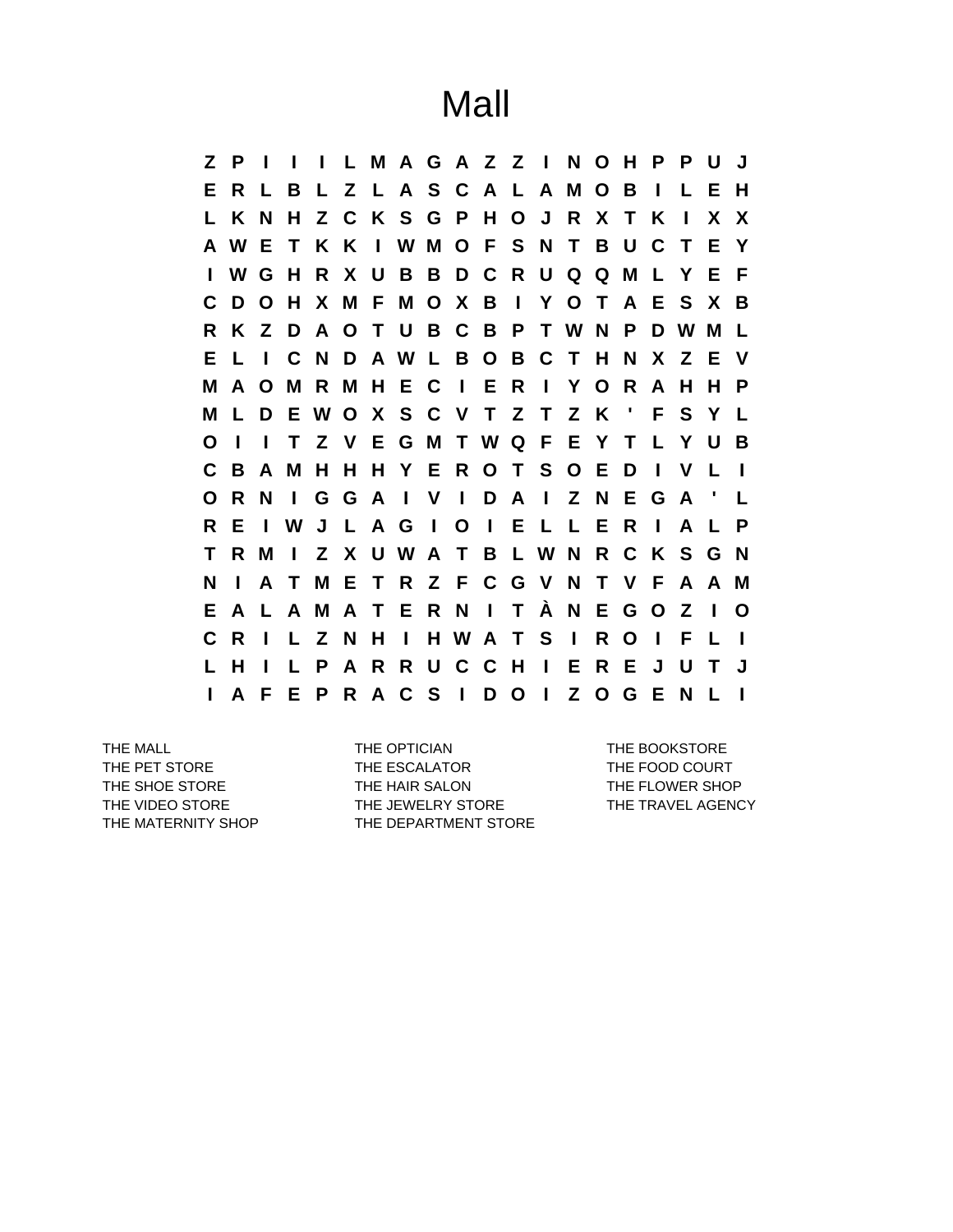Mall

**Z P I I I L M A G A Z Z I N O H P P U J E R L B L Z L A S C A L A M O B I L E H L K N H Z C K S G P H O J R X T K I X X A W E T K K I W M O F S N T B U C T E Y I W G H R X U B B D C R U Q Q M L Y E F C D O H X M F M O X B I Y O T A E S X B R K Z D A O T U B C B P T W N P D W M L E L I C N D A W L B O B C T H N X Z E V M A O M R M H E C I E R I Y O R A H H P M L D E W O X S C V T Z T Z K ' F S Y L O I I T Z V E G M T W Q F E Y T L Y U B C B A M H H H Y E R O T S O E D I V L I O R N I G G A I V I D A I Z N E G A ' L R E I W J L A G I O I E L L E R I A L P T R M I Z X U W A T B L W N R C K S G N N I A T M E T R Z F C G V N T V F A A M E A L A M A T E R N I T À N E G O Z I O C R I L Z N H I H W A T S I R O I F L I L H I L P A R R U C C H I E R E J U T J I A F E P R A C S I D O I Z O G E N L I**

THE MALL **THE OPTICIAN** THE OPTICIAN THE BOOKSTORE THE PET STORE THE ESCALATOR THE FOOD COURT THE SHOE STORE THE HAIR SALON THE THE FLOWER SHOP THE VIDEO STORE THE JEWELRY STORE THE TRAVEL AGENCY THE MATERNITY SHOP THE DEPARTMENT STORE